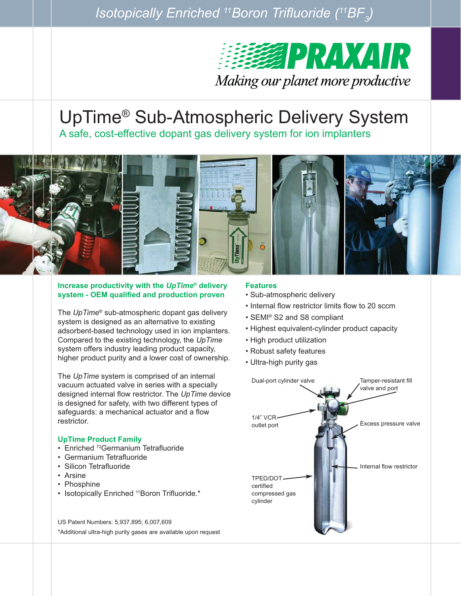*Isotopically Enriched 11Boron Trifluoride (11BF* $_{\textrm{\scriptsize{j}}}$ *)* 



# UpTime® Sub-Atmospheric Delivery System

A safe, cost-effective dopant gas delivery system for ion implanters



#### **Increase productivity with the** *UpTime®* **delivery system - OEM qualified and production proven**

The *UpTime®* sub-atmospheric dopant gas delivery system is designed as an alternative to existing adsorbent-based technology used in ion implanters. Compared to the existing technology, the *UpTime* system offers industry leading product capacity, higher product purity and a lower cost of ownership.

The *UpTime* system is comprised of an internal vacuum actuated valve in series with a specially designed internal flow restrictor. The *UpTime* device is designed for safety, with two different types of safeguards: a mechanical actuator and a flow restrictor.

# **UpTime Product Family**

- Enriched <sup>72</sup>Germanium Tetrafluoride
- Germanium Tetrafluoride
- Silicon Tetrafluoride
- Arsine
- Phosphine
- Isotopically Enriched <sup>11</sup>Boron Trifluoride.\*

US Patent Numbers: 5,937,895; 6,007,609 \*Additional ultra-high purity gases are available upon request

#### **Features**

- Sub-atmospheric delivery
- Internal flow restrictor limits flow to 20 sccm
- SEMI® S2 and S8 compliant
- Highest equivalent-cylinder product capacity
- High product utilization
- Robust safety features
- Ultra-high purity gas